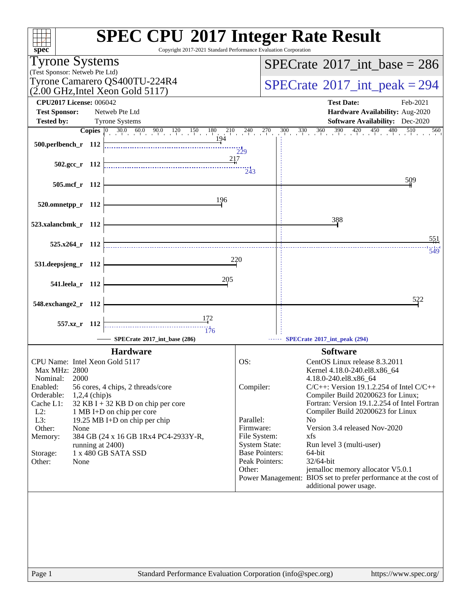| $spec^*$                                                                                                                                                                                                                                                       | <b>SPEC CPU®2017 Integer Rate Result</b><br>Copyright 2017-2021 Standard Performance Evaluation Corporation                                                                                        |                                                                                                                                         |                                             |                                                                                                                                                                                                                                                                                                                                                                                                                                                                                                                                      |  |  |  |
|----------------------------------------------------------------------------------------------------------------------------------------------------------------------------------------------------------------------------------------------------------------|----------------------------------------------------------------------------------------------------------------------------------------------------------------------------------------------------|-----------------------------------------------------------------------------------------------------------------------------------------|---------------------------------------------|--------------------------------------------------------------------------------------------------------------------------------------------------------------------------------------------------------------------------------------------------------------------------------------------------------------------------------------------------------------------------------------------------------------------------------------------------------------------------------------------------------------------------------------|--|--|--|
| <b>Tyrone Systems</b>                                                                                                                                                                                                                                          |                                                                                                                                                                                                    |                                                                                                                                         | $SPECTate$ <sup>®</sup> 2017_int_base = 286 |                                                                                                                                                                                                                                                                                                                                                                                                                                                                                                                                      |  |  |  |
| (Test Sponsor: Netweb Pte Ltd)                                                                                                                                                                                                                                 |                                                                                                                                                                                                    |                                                                                                                                         |                                             |                                                                                                                                                                                                                                                                                                                                                                                                                                                                                                                                      |  |  |  |
| Tyrone Camarero QS400TU-224R4<br>$(2.00 \text{ GHz}, \text{Intel Xeon Gold } 5117)$                                                                                                                                                                            |                                                                                                                                                                                                    |                                                                                                                                         |                                             | $SPECrate^{\circ}2017\_int\_peak = 294$                                                                                                                                                                                                                                                                                                                                                                                                                                                                                              |  |  |  |
| <b>CPU2017 License: 006042</b>                                                                                                                                                                                                                                 |                                                                                                                                                                                                    |                                                                                                                                         |                                             | <b>Test Date:</b><br>Feb-2021                                                                                                                                                                                                                                                                                                                                                                                                                                                                                                        |  |  |  |
| <b>Test Sponsor:</b>                                                                                                                                                                                                                                           | Netweb Pte Ltd                                                                                                                                                                                     |                                                                                                                                         |                                             | Hardware Availability: Aug-2020                                                                                                                                                                                                                                                                                                                                                                                                                                                                                                      |  |  |  |
| <b>Tested by:</b>                                                                                                                                                                                                                                              | <b>Tyrone Systems</b>                                                                                                                                                                              |                                                                                                                                         |                                             | <b>Software Availability:</b> Dec-2020<br>$300$ $330$ $360$ $390$ $420$ $450$<br>480<br>510<br>560                                                                                                                                                                                                                                                                                                                                                                                                                                   |  |  |  |
| 500.perlbench_r 112                                                                                                                                                                                                                                            | <b>Copies</b> $\begin{bmatrix} 0 & 30.0 & 60.0 & 90.0 & 120 & 150 & 180 & 210 & 240 & 270 \end{bmatrix}$                                                                                           | $\frac{1}{229}$                                                                                                                         |                                             |                                                                                                                                                                                                                                                                                                                                                                                                                                                                                                                                      |  |  |  |
| $502.\text{gcc r}$ 112                                                                                                                                                                                                                                         | 217                                                                                                                                                                                                | $\frac{1}{243}$                                                                                                                         |                                             |                                                                                                                                                                                                                                                                                                                                                                                                                                                                                                                                      |  |  |  |
| 505.mcf_r 112                                                                                                                                                                                                                                                  |                                                                                                                                                                                                    |                                                                                                                                         |                                             | 509                                                                                                                                                                                                                                                                                                                                                                                                                                                                                                                                  |  |  |  |
| 520.omnetpp_r 112                                                                                                                                                                                                                                              | 196                                                                                                                                                                                                |                                                                                                                                         |                                             |                                                                                                                                                                                                                                                                                                                                                                                                                                                                                                                                      |  |  |  |
| 523.xalancbmk_r 112                                                                                                                                                                                                                                            |                                                                                                                                                                                                    |                                                                                                                                         |                                             | 388                                                                                                                                                                                                                                                                                                                                                                                                                                                                                                                                  |  |  |  |
| $525.x264$ r 112                                                                                                                                                                                                                                               |                                                                                                                                                                                                    |                                                                                                                                         |                                             | 551<br>549                                                                                                                                                                                                                                                                                                                                                                                                                                                                                                                           |  |  |  |
| 531.deepsjeng_r 112                                                                                                                                                                                                                                            |                                                                                                                                                                                                    | 220                                                                                                                                     |                                             |                                                                                                                                                                                                                                                                                                                                                                                                                                                                                                                                      |  |  |  |
| 541.leela_r 112                                                                                                                                                                                                                                                | 205                                                                                                                                                                                                |                                                                                                                                         |                                             |                                                                                                                                                                                                                                                                                                                                                                                                                                                                                                                                      |  |  |  |
| 548.exchange2_r 112                                                                                                                                                                                                                                            |                                                                                                                                                                                                    |                                                                                                                                         |                                             | 522                                                                                                                                                                                                                                                                                                                                                                                                                                                                                                                                  |  |  |  |
| 557.xz_r 112                                                                                                                                                                                                                                                   | 176                                                                                                                                                                                                |                                                                                                                                         |                                             |                                                                                                                                                                                                                                                                                                                                                                                                                                                                                                                                      |  |  |  |
|                                                                                                                                                                                                                                                                | SPECrate*2017_int_base (286)                                                                                                                                                                       |                                                                                                                                         |                                             | -- SPECrate®2017_int_peak (294)                                                                                                                                                                                                                                                                                                                                                                                                                                                                                                      |  |  |  |
| CPU Name: Intel Xeon Gold 5117<br><b>Max MHz: 2800</b><br>2000<br>Nominal:<br>Enabled:<br>Orderable:<br>$1,2,4$ (chip)s<br>Cache L1:<br>$L2$ :<br>$L3$ :<br>Other:<br>None<br>Memory:<br>running at 2400)<br>1 x 480 GB SATA SSD<br>Storage:<br>Other:<br>None | <b>Hardware</b><br>56 cores, 4 chips, 2 threads/core<br>$32$ KB I + 32 KB D on chip per core<br>1 MB I+D on chip per core<br>19.25 MB I+D on chip per chip<br>384 GB (24 x 16 GB 1Rx4 PC4-2933Y-R, | OS:<br>Compiler:<br>Parallel:<br>Firmware:<br>File System:<br><b>System State:</b><br><b>Base Pointers:</b><br>Peak Pointers:<br>Other: |                                             | <b>Software</b><br>CentOS Linux release 8.3.2011<br>Kernel 4.18.0-240.el8.x86_64<br>4.18.0-240.el8.x86_64<br>$C/C++$ : Version 19.1.2.254 of Intel $C/C++$<br>Compiler Build 20200623 for Linux;<br>Fortran: Version 19.1.2.254 of Intel Fortran<br>Compiler Build 20200623 for Linux<br>N <sub>0</sub><br>Version 3.4 released Nov-2020<br>xfs<br>Run level 3 (multi-user)<br>64-bit<br>32/64-bit<br>jemalloc memory allocator V5.0.1<br>Power Management: BIOS set to prefer performance at the cost of<br>additional power usage. |  |  |  |
| Page 1                                                                                                                                                                                                                                                         | Standard Performance Evaluation Corporation (info@spec.org)                                                                                                                                        |                                                                                                                                         |                                             | https://www.spec.org/                                                                                                                                                                                                                                                                                                                                                                                                                                                                                                                |  |  |  |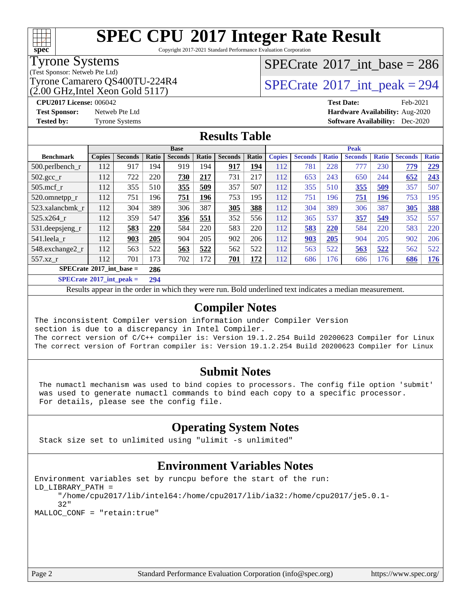## **[SPEC CPU](http://www.spec.org/auto/cpu2017/Docs/result-fields.html#SPECCPU2017IntegerRateResult)[2017 Integer Rate Result](http://www.spec.org/auto/cpu2017/Docs/result-fields.html#SPECCPU2017IntegerRateResult)**

Copyright 2017-2021 Standard Performance Evaluation Corporation

#### Tyrone Systems

(Test Sponsor: Netweb Pte Ltd)

(2.00 GHz,Intel Xeon Gold 5117)

## $SPECrate$ <sup>®</sup>[2017\\_int\\_base =](http://www.spec.org/auto/cpu2017/Docs/result-fields.html#SPECrate2017intbase) 286

Tyrone Camarero QS400TU-224R4  $\sim$  [SPECrate](http://www.spec.org/auto/cpu2017/Docs/result-fields.html#SPECrate2017intpeak) [2017\\_int\\_peak = 2](http://www.spec.org/auto/cpu2017/Docs/result-fields.html#SPECrate2017intpeak)94

**[CPU2017 License:](http://www.spec.org/auto/cpu2017/Docs/result-fields.html#CPU2017License)** 006042 **[Test Date:](http://www.spec.org/auto/cpu2017/Docs/result-fields.html#TestDate)** Feb-2021 **[Test Sponsor:](http://www.spec.org/auto/cpu2017/Docs/result-fields.html#TestSponsor)** Netweb Pte Ltd **[Hardware Availability:](http://www.spec.org/auto/cpu2017/Docs/result-fields.html#HardwareAvailability)** Aug-2020 **[Tested by:](http://www.spec.org/auto/cpu2017/Docs/result-fields.html#Testedby)** Tyrone Systems **[Software Availability:](http://www.spec.org/auto/cpu2017/Docs/result-fields.html#SoftwareAvailability)** Dec-2020

#### **[Results Table](http://www.spec.org/auto/cpu2017/Docs/result-fields.html#ResultsTable)**

| <b>Base</b>                       |               |                |       |                | <b>Peak</b> |                |       |               |                |              |                |              |                |              |
|-----------------------------------|---------------|----------------|-------|----------------|-------------|----------------|-------|---------------|----------------|--------------|----------------|--------------|----------------|--------------|
| <b>Benchmark</b>                  | <b>Copies</b> | <b>Seconds</b> | Ratio | <b>Seconds</b> | Ratio       | <b>Seconds</b> | Ratio | <b>Copies</b> | <b>Seconds</b> | <b>Ratio</b> | <b>Seconds</b> | <b>Ratio</b> | <b>Seconds</b> | <b>Ratio</b> |
| 500.perlbench_r                   | 112           | 917            | 194   | 919            | 194         | 917            | 194   | 112           | 781            | 228          | 777            | 230          | 779            | 229          |
| $502.\text{sec}$ <sub>r</sub>     | 112           | 722            | 220   | 730            | 217         | 731            | 217   | 112           | 653            | 243          | 650            | 244          | 652            | 243          |
| $505$ .mcf r                      | 112           | 355            | 510   | 355            | 509         | 357            | 507   | 112           | 355            | 510          | 355            | 509          | 357            | 507          |
| 520.omnetpp_r                     | 112           | 751            | 196   | 751            | 196         | 753            | 195   | 112           | 751            | 196          | 751            | 196          | 753            | 195          |
| 523.xalancbmk r                   | 112           | 304            | 389   | 306            | 387         | 305            | 388   | 112           | 304            | 389          | 306            | 387          | 305            | 388          |
| 525.x264 r                        | 112           | 359            | 547   | 356            | 551         | 352            | 556   | 112           | 365            | 537          | 357            | 549          | 352            | 557          |
| 531.deepsjeng_r                   | 112           | 583            | 220   | 584            | 220         | 583            | 220   | 112           | 583            | 220          | 584            | 220          | 583            | 220          |
| 541.leela r                       | 112           | 903            | 205   | 904            | 205         | 902            | 206   | 112           | 903            | 205          | 904            | 205          | 902            | 206          |
| 548.exchange2_r                   | 112           | 563            | 522   | 563            | 522         | 562            | 522   | 112           | 563            | 522          | 563            | 522          | 562            | 522          |
| 557.xz r                          | 112           | 701            | 173   | 702            | 172         | 701            | 172   | 112           | 686            | 176          | 686            | 176          | 686            | 176          |
| $SPECrate^{\circ}2017$ int base = |               |                | 286   |                |             |                |       |               |                |              |                |              |                |              |

**[SPECrate](http://www.spec.org/auto/cpu2017/Docs/result-fields.html#SPECrate2017intpeak)[2017\\_int\\_peak =](http://www.spec.org/auto/cpu2017/Docs/result-fields.html#SPECrate2017intpeak) 294**

Results appear in the [order in which they were run](http://www.spec.org/auto/cpu2017/Docs/result-fields.html#RunOrder). Bold underlined text [indicates a median measurement](http://www.spec.org/auto/cpu2017/Docs/result-fields.html#Median).

#### **[Compiler Notes](http://www.spec.org/auto/cpu2017/Docs/result-fields.html#CompilerNotes)**

The inconsistent Compiler version information under Compiler Version section is due to a discrepancy in Intel Compiler. The correct version of C/C++ compiler is: Version 19.1.2.254 Build 20200623 Compiler for Linux The correct version of Fortran compiler is: Version 19.1.2.254 Build 20200623 Compiler for Linux

#### **[Submit Notes](http://www.spec.org/auto/cpu2017/Docs/result-fields.html#SubmitNotes)**

 The numactl mechanism was used to bind copies to processors. The config file option 'submit' was used to generate numactl commands to bind each copy to a specific processor. For details, please see the config file.

#### **[Operating System Notes](http://www.spec.org/auto/cpu2017/Docs/result-fields.html#OperatingSystemNotes)**

Stack size set to unlimited using "ulimit -s unlimited"

#### **[Environment Variables Notes](http://www.spec.org/auto/cpu2017/Docs/result-fields.html#EnvironmentVariablesNotes)**

```
Environment variables set by runcpu before the start of the run:
LD_LIBRARY_PATH =
      "/home/cpu2017/lib/intel64:/home/cpu2017/lib/ia32:/home/cpu2017/je5.0.1-
      32"
MALLOC_CONF = "retain:true"
```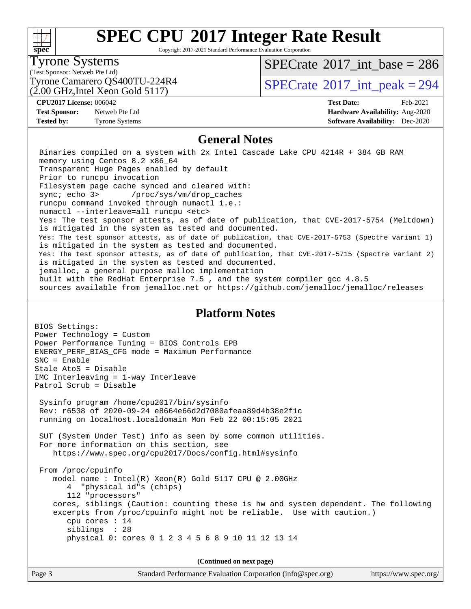#### $+\!\!+\!\!$ **[spec](http://www.spec.org/)**

## **[SPEC CPU](http://www.spec.org/auto/cpu2017/Docs/result-fields.html#SPECCPU2017IntegerRateResult)[2017 Integer Rate Result](http://www.spec.org/auto/cpu2017/Docs/result-fields.html#SPECCPU2017IntegerRateResult)**

Copyright 2017-2021 Standard Performance Evaluation Corporation

#### Tyrone Systems

(Test Sponsor: Netweb Pte Ltd)

(2.00 GHz,Intel Xeon Gold 5117)

 $SPECTate$ <sup>®</sup>[2017\\_int\\_base =](http://www.spec.org/auto/cpu2017/Docs/result-fields.html#SPECrate2017intbase) 286

Tyrone Camarero QS400TU-224R4  $\vert$  [SPECrate](http://www.spec.org/auto/cpu2017/Docs/result-fields.html#SPECrate2017intpeak) [2017\\_int\\_peak = 2](http://www.spec.org/auto/cpu2017/Docs/result-fields.html#SPECrate2017intpeak)94

**[Test Sponsor:](http://www.spec.org/auto/cpu2017/Docs/result-fields.html#TestSponsor)** Netweb Pte Ltd **[Hardware Availability:](http://www.spec.org/auto/cpu2017/Docs/result-fields.html#HardwareAvailability)** Aug-2020

**[CPU2017 License:](http://www.spec.org/auto/cpu2017/Docs/result-fields.html#CPU2017License)** 006042 **[Test Date:](http://www.spec.org/auto/cpu2017/Docs/result-fields.html#TestDate)** Feb-2021 **[Tested by:](http://www.spec.org/auto/cpu2017/Docs/result-fields.html#Testedby)** Tyrone Systems **[Software Availability:](http://www.spec.org/auto/cpu2017/Docs/result-fields.html#SoftwareAvailability)** Dec-2020

#### **[General Notes](http://www.spec.org/auto/cpu2017/Docs/result-fields.html#GeneralNotes)**

 Binaries compiled on a system with 2x Intel Cascade Lake CPU 4214R + 384 GB RAM memory using Centos 8.2 x86\_64 Transparent Huge Pages enabled by default Prior to runcpu invocation Filesystem page cache synced and cleared with: sync; echo 3> /proc/sys/vm/drop\_caches runcpu command invoked through numactl i.e.: numactl --interleave=all runcpu <etc> Yes: The test sponsor attests, as of date of publication, that CVE-2017-5754 (Meltdown) is mitigated in the system as tested and documented. Yes: The test sponsor attests, as of date of publication, that CVE-2017-5753 (Spectre variant 1) is mitigated in the system as tested and documented. Yes: The test sponsor attests, as of date of publication, that CVE-2017-5715 (Spectre variant 2) is mitigated in the system as tested and documented. jemalloc, a general purpose malloc implementation built with the RedHat Enterprise 7.5 , and the system compiler gcc 4.8.5 sources available from jemalloc.net or <https://github.com/jemalloc/jemalloc/releases>

#### **[Platform Notes](http://www.spec.org/auto/cpu2017/Docs/result-fields.html#PlatformNotes)**

BIOS Settings: Power Technology = Custom Power Performance Tuning = BIOS Controls EPB ENERGY\_PERF\_BIAS\_CFG mode = Maximum Performance SNC = Enable Stale AtoS = Disable IMC Interleaving = 1-way Interleave Patrol Scrub = Disable Sysinfo program /home/cpu2017/bin/sysinfo Rev: r6538 of 2020-09-24 e8664e66d2d7080afeaa89d4b38e2f1c running on localhost.localdomain Mon Feb 22 00:15:05 2021 SUT (System Under Test) info as seen by some common utilities. For more information on this section, see <https://www.spec.org/cpu2017/Docs/config.html#sysinfo> From /proc/cpuinfo model name : Intel(R) Xeon(R) Gold 5117 CPU @ 2.00GHz 4 "physical id"s (chips) 112 "processors" cores, siblings (Caution: counting these is hw and system dependent. The following excerpts from /proc/cpuinfo might not be reliable. Use with caution.) cpu cores : 14 siblings : 28 physical 0: cores 0 1 2 3 4 5 6 8 9 10 11 12 13 14

**(Continued on next page)**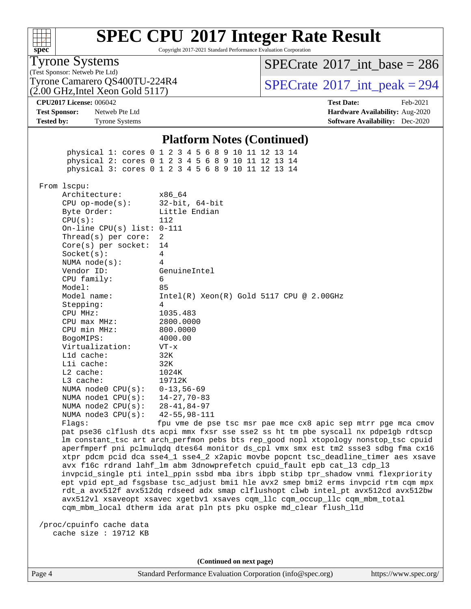

Copyright 2017-2021 Standard Performance Evaluation Corporation

#### Tyrone Systems

(Test Sponsor: Netweb Pte Ltd)

 $SPECTate$ <sup>®</sup>[2017\\_int\\_base =](http://www.spec.org/auto/cpu2017/Docs/result-fields.html#SPECrate2017intbase) 286

(2.00 GHz,Intel Xeon Gold 5117) Tyrone Camarero QS400TU-224R4  $\vert$  [SPECrate](http://www.spec.org/auto/cpu2017/Docs/result-fields.html#SPECrate2017intpeak)  $2017$ \_int\_peak = 294

**[CPU2017 License:](http://www.spec.org/auto/cpu2017/Docs/result-fields.html#CPU2017License)** 006042 **[Test Date:](http://www.spec.org/auto/cpu2017/Docs/result-fields.html#TestDate)** Feb-2021 **[Test Sponsor:](http://www.spec.org/auto/cpu2017/Docs/result-fields.html#TestSponsor)** Netweb Pte Ltd **[Hardware Availability:](http://www.spec.org/auto/cpu2017/Docs/result-fields.html#HardwareAvailability)** Aug-2020 **[Tested by:](http://www.spec.org/auto/cpu2017/Docs/result-fields.html#Testedby)** Tyrone Systems **[Software Availability:](http://www.spec.org/auto/cpu2017/Docs/result-fields.html#SoftwareAvailability)** Dec-2020

#### **[Platform Notes \(Continued\)](http://www.spec.org/auto/cpu2017/Docs/result-fields.html#PlatformNotes)**

 physical 1: cores 0 1 2 3 4 5 6 8 9 10 11 12 13 14 physical 2: cores 0 1 2 3 4 5 6 8 9 10 11 12 13 14 physical 3: cores 0 1 2 3 4 5 6 8 9 10 11 12 13 14 From lscpu: Architecture: x86\_64 CPU op-mode(s): 32-bit, 64-bit Byte Order: Little Endian CPU(s): 112 On-line CPU(s) list: 0-111 Thread(s) per core: 2 Core(s) per socket: 14 Socket(s): 4 NUMA node(s): 4 Vendor ID: GenuineIntel CPU family: 6 Model: 85 Model name: Intel(R) Xeon(R) Gold 5117 CPU @ 2.00GHz Stepping: 4 CPU MHz: 1035.483 CPU max MHz: 2800.0000 CPU min MHz: 800.0000 BogoMIPS: 4000.00 Virtualization: VT-x L1d cache: 32K L1i cache: 32K L2 cache: 1024K L3 cache: 19712K NUMA node0 CPU(s): 0-13,56-69 NUMA node1 CPU(s): 14-27,70-83 NUMA node2 CPU(s): 28-41,84-97 NUMA node3 CPU(s): 42-55,98-111 Flags: fpu vme de pse tsc msr pae mce cx8 apic sep mtrr pge mca cmov pat pse36 clflush dts acpi mmx fxsr sse sse2 ss ht tm pbe syscall nx pdpe1gb rdtscp

 lm constant\_tsc art arch\_perfmon pebs bts rep\_good nopl xtopology nonstop\_tsc cpuid aperfmperf pni pclmulqdq dtes64 monitor ds\_cpl vmx smx est tm2 ssse3 sdbg fma cx16 xtpr pdcm pcid dca sse4\_1 sse4\_2 x2apic movbe popcnt tsc\_deadline\_timer aes xsave avx f16c rdrand lahf\_lm abm 3dnowprefetch cpuid\_fault epb cat\_l3 cdp\_l3 invpcid\_single pti intel\_ppin ssbd mba ibrs ibpb stibp tpr\_shadow vnmi flexpriority ept vpid ept\_ad fsgsbase tsc\_adjust bmi1 hle avx2 smep bmi2 erms invpcid rtm cqm mpx rdt\_a avx512f avx512dq rdseed adx smap clflushopt clwb intel\_pt avx512cd avx512bw avx512vl xsaveopt xsavec xgetbv1 xsaves cqm\_llc cqm\_occup\_llc cqm\_mbm\_total cqm\_mbm\_local dtherm ida arat pln pts pku ospke md\_clear flush\_l1d

 /proc/cpuinfo cache data cache size : 19712 KB

**(Continued on next page)**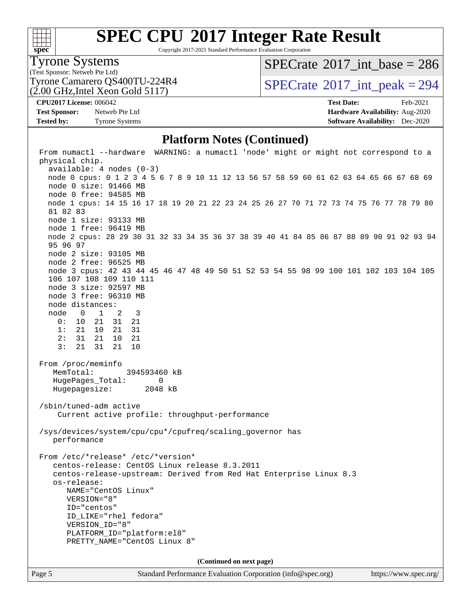

Copyright 2017-2021 Standard Performance Evaluation Corporation

#### Tyrone Systems

(Test Sponsor: Netweb Pte Ltd)

(2.00 GHz,Intel Xeon Gold 5117)

 $SPECTate$ <sup>®</sup>[2017\\_int\\_base =](http://www.spec.org/auto/cpu2017/Docs/result-fields.html#SPECrate2017intbase) 286

Tyrone Camarero QS400TU-224R4  $\vert$  [SPECrate](http://www.spec.org/auto/cpu2017/Docs/result-fields.html#SPECrate2017intpeak) [2017\\_int\\_peak = 2](http://www.spec.org/auto/cpu2017/Docs/result-fields.html#SPECrate2017intpeak)94

**[Test Sponsor:](http://www.spec.org/auto/cpu2017/Docs/result-fields.html#TestSponsor)** Netweb Pte Ltd **[Hardware Availability:](http://www.spec.org/auto/cpu2017/Docs/result-fields.html#HardwareAvailability)** Aug-2020 **[Tested by:](http://www.spec.org/auto/cpu2017/Docs/result-fields.html#Testedby)** Tyrone Systems **[Software Availability:](http://www.spec.org/auto/cpu2017/Docs/result-fields.html#SoftwareAvailability)** Dec-2020

**[CPU2017 License:](http://www.spec.org/auto/cpu2017/Docs/result-fields.html#CPU2017License)** 006042 **[Test Date:](http://www.spec.org/auto/cpu2017/Docs/result-fields.html#TestDate)** Feb-2021

#### **[Platform Notes \(Continued\)](http://www.spec.org/auto/cpu2017/Docs/result-fields.html#PlatformNotes)**

 From numactl --hardware WARNING: a numactl 'node' might or might not correspond to a physical chip. available: 4 nodes (0-3) node 0 cpus: 0 1 2 3 4 5 6 7 8 9 10 11 12 13 56 57 58 59 60 61 62 63 64 65 66 67 68 69 node 0 size: 91466 MB node 0 free: 94585 MB node 1 cpus: 14 15 16 17 18 19 20 21 22 23 24 25 26 27 70 71 72 73 74 75 76 77 78 79 80 81 82 83 node 1 size: 93133 MB node 1 free: 96419 MB node 2 cpus: 28 29 30 31 32 33 34 35 36 37 38 39 40 41 84 85 86 87 88 89 90 91 92 93 94 95 96 97 node 2 size: 93105 MB node 2 free: 96525 MB node 3 cpus: 42 43 44 45 46 47 48 49 50 51 52 53 54 55 98 99 100 101 102 103 104 105 106 107 108 109 110 111 node 3 size: 92597 MB node 3 free: 96310 MB node distances: node 0 1 2 3 0: 10 21 31 21 1: 21 10 21 31 2: 31 21 10 21 3: 21 31 21 10 From /proc/meminfo MemTotal: 394593460 kB HugePages\_Total: 0 Hugepagesize: 2048 kB /sbin/tuned-adm active Current active profile: throughput-performance /sys/devices/system/cpu/cpu\*/cpufreq/scaling\_governor has performance From /etc/\*release\* /etc/\*version\* centos-release: CentOS Linux release 8.3.2011 centos-release-upstream: Derived from Red Hat Enterprise Linux 8.3 os-release: NAME="CentOS Linux" VERSION="8" ID="centos" ID\_LIKE="rhel fedora" VERSION\_ID="8" PLATFORM\_ID="platform:el8" PRETTY\_NAME="CentOS Linux 8" **(Continued on next page)**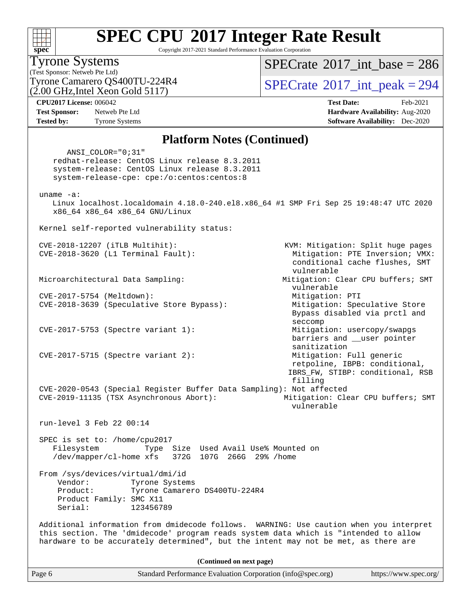## **[SPEC CPU](http://www.spec.org/auto/cpu2017/Docs/result-fields.html#SPECCPU2017IntegerRateResult)[2017 Integer Rate Result](http://www.spec.org/auto/cpu2017/Docs/result-fields.html#SPECCPU2017IntegerRateResult)**

Copyright 2017-2021 Standard Performance Evaluation Corporation

### Tyrone Systems

(Test Sponsor: Netweb Pte Ltd) (2.00 GHz,Intel Xeon Gold 5117)

### $SPECTate$ <sup>®</sup>[2017\\_int\\_base =](http://www.spec.org/auto/cpu2017/Docs/result-fields.html#SPECrate2017intbase) 286

Tyrone Camarero QS400TU-224R4  $\vert$  [SPECrate](http://www.spec.org/auto/cpu2017/Docs/result-fields.html#SPECrate2017intpeak) [2017\\_int\\_peak = 2](http://www.spec.org/auto/cpu2017/Docs/result-fields.html#SPECrate2017intpeak)94

**[CPU2017 License:](http://www.spec.org/auto/cpu2017/Docs/result-fields.html#CPU2017License)** 006042 **[Test Date:](http://www.spec.org/auto/cpu2017/Docs/result-fields.html#TestDate)** Feb-2021 **[Test Sponsor:](http://www.spec.org/auto/cpu2017/Docs/result-fields.html#TestSponsor)** Netweb Pte Ltd **[Hardware Availability:](http://www.spec.org/auto/cpu2017/Docs/result-fields.html#HardwareAvailability)** Aug-2020 **[Tested by:](http://www.spec.org/auto/cpu2017/Docs/result-fields.html#Testedby)** Tyrone Systems **[Software Availability:](http://www.spec.org/auto/cpu2017/Docs/result-fields.html#SoftwareAvailability)** Dec-2020

#### **[Platform Notes \(Continued\)](http://www.spec.org/auto/cpu2017/Docs/result-fields.html#PlatformNotes)**

Page 6 Standard Performance Evaluation Corporation [\(info@spec.org\)](mailto:info@spec.org) <https://www.spec.org/> ANSI\_COLOR="0;31" redhat-release: CentOS Linux release 8.3.2011 system-release: CentOS Linux release 8.3.2011 system-release-cpe: cpe:/o:centos:centos:8 uname -a: Linux localhost.localdomain 4.18.0-240.el8.x86\_64 #1 SMP Fri Sep 25 19:48:47 UTC 2020 x86\_64 x86\_64 x86\_64 GNU/Linux Kernel self-reported vulnerability status: CVE-2018-12207 (iTLB Multihit): KVM: Mitigation: Split huge pages CVE-2018-3620 (L1 Terminal Fault): Mitigation: PTE Inversion; VMX: conditional cache flushes, SMT vulnerable Microarchitectural Data Sampling: Mitigation: Clear CPU buffers; SMT vulnerable CVE-2017-5754 (Meltdown): Mitigation: PTI CVE-2018-3639 (Speculative Store Bypass): Mitigation: Speculative Store Bypass disabled via prctl and seccompany and the contract of the contract of the contract of the second seconds of the seconds of the seconds of the seconds of the seconds of the seconds of the seconds of the seconds of the seconds of the seconds of th CVE-2017-5753 (Spectre variant 1): Mitigation: usercopy/swapgs barriers and \_\_user pointer sanitization CVE-2017-5715 (Spectre variant 2): Mitigation: Full generic retpoline, IBPB: conditional, IBRS\_FW, STIBP: conditional, RSB filling CVE-2020-0543 (Special Register Buffer Data Sampling): Not affected CVE-2019-11135 (TSX Asynchronous Abort): Mitigation: Clear CPU buffers; SMT vulnerable run-level 3 Feb 22 00:14 SPEC is set to: /home/cpu2017 Filesystem Type Size Used Avail Use% Mounted on /dev/mapper/cl-home xfs 372G 107G 266G 29% /home From /sys/devices/virtual/dmi/id Vendor: Tyrone Systems Product: Tyrone Camarero DS400TU-224R4 Product Family: SMC X11 Serial: 123456789 Additional information from dmidecode follows. WARNING: Use caution when you interpret this section. The 'dmidecode' program reads system data which is "intended to allow hardware to be accurately determined", but the intent may not be met, as there are **(Continued on next page)**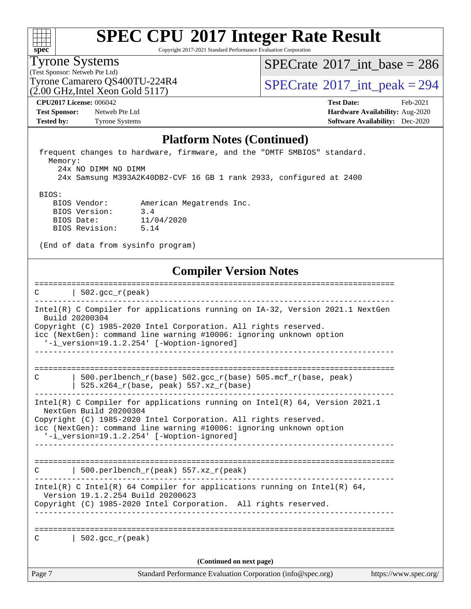| S. | П | e | L. |  |
|----|---|---|----|--|

Copyright 2017-2021 Standard Performance Evaluation Corporation

Tyrone Systems

(Test Sponsor: Netweb Pte Ltd)

 $SPECrate$ <sup>®</sup>[2017\\_int\\_base =](http://www.spec.org/auto/cpu2017/Docs/result-fields.html#SPECrate2017intbase) 286

(2.00 GHz,Intel Xeon Gold 5117)

Tyrone Camarero QS400TU-224R4  $\vert$  [SPECrate](http://www.spec.org/auto/cpu2017/Docs/result-fields.html#SPECrate2017intpeak)  $2017$ \_int\_peak = 294

**[CPU2017 License:](http://www.spec.org/auto/cpu2017/Docs/result-fields.html#CPU2017License)** 006042 **[Test Date:](http://www.spec.org/auto/cpu2017/Docs/result-fields.html#TestDate)** Feb-2021 **[Test Sponsor:](http://www.spec.org/auto/cpu2017/Docs/result-fields.html#TestSponsor)** Netweb Pte Ltd **[Hardware Availability:](http://www.spec.org/auto/cpu2017/Docs/result-fields.html#HardwareAvailability)** Aug-2020 **[Tested by:](http://www.spec.org/auto/cpu2017/Docs/result-fields.html#Testedby)** Tyrone Systems **[Software Availability:](http://www.spec.org/auto/cpu2017/Docs/result-fields.html#SoftwareAvailability)** Dec-2020

#### **[Platform Notes \(Continued\)](http://www.spec.org/auto/cpu2017/Docs/result-fields.html#PlatformNotes)**

 frequent changes to hardware, firmware, and the "DMTF SMBIOS" standard. Memory: 24x NO DIMM NO DIMM 24x Samsung M393A2K40DB2-CVF 16 GB 1 rank 2933, configured at 2400 BIOS: BIOS Vendor: American Megatrends Inc. BIOS Version: 3.4

(End of data from sysinfo program)

BIOS Date: 11/04/2020

BIOS Revision: 5.14

#### **[Compiler Version Notes](http://www.spec.org/auto/cpu2017/Docs/result-fields.html#CompilerVersionNotes)**

|        | 502. $qcc r (peak)$                                                                                                                                                                                                                                                                           |                       |
|--------|-----------------------------------------------------------------------------------------------------------------------------------------------------------------------------------------------------------------------------------------------------------------------------------------------|-----------------------|
|        | Intel(R) C Compiler for applications running on IA-32, Version 2021.1 NextGen<br>Build 20200304<br>Copyright (C) 1985-2020 Intel Corporation. All rights reserved.<br>icc (NextGen): command line warning #10006: ignoring unknown option<br>'-i_version=19.1.2.254' [-Woption-ignored]       |                       |
| C      | $500. perlbench_r(base) 502. gcc_r(base) 505.mcf_r(base, peak)$<br>525.x264_r(base, peak) 557.xz_r(base)                                                                                                                                                                                      |                       |
|        | Intel(R) C Compiler for applications running on Intel(R) 64, Version 2021.1<br>NextGen Build 20200304<br>Copyright (C) 1985-2020 Intel Corporation. All rights reserved.<br>icc (NextGen): command line warning #10006: ignoring unknown option<br>'-i_version=19.1.2.254' [-Woption-ignored] |                       |
| C      | 500.perlbench_r(peak) 557.xz_r(peak)                                                                                                                                                                                                                                                          |                       |
|        | Intel(R) C Intel(R) 64 Compiler for applications running on Intel(R) 64,<br>Version 19.1.2.254 Build 20200623<br>Copyright (C) 1985-2020 Intel Corporation. All rights reserved.                                                                                                              |                       |
|        | $C$   502. gcc $r$ (peak)<br>(Continued on next page)                                                                                                                                                                                                                                         |                       |
| Page 7 | Standard Performance Evaluation Corporation (info@spec.org)                                                                                                                                                                                                                                   | https://www.spec.org/ |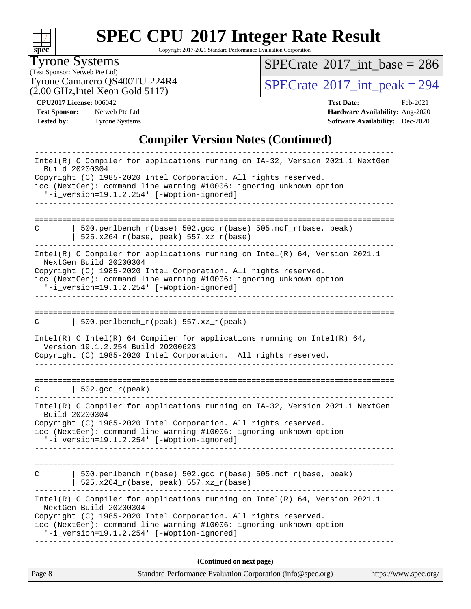| S)<br>č | п | æ | Ľ |  |
|---------|---|---|---|--|

Copyright 2017-2021 Standard Performance Evaluation Corporation

#### Tyrone Systems

(Test Sponsor: Netweb Pte Ltd) (2.00 GHz,Intel Xeon Gold 5117)  $SPECrate$ <sup>®</sup>[2017\\_int\\_base =](http://www.spec.org/auto/cpu2017/Docs/result-fields.html#SPECrate2017intbase) 286

Tyrone Camarero QS400TU-224R4  $\vert$  [SPECrate](http://www.spec.org/auto/cpu2017/Docs/result-fields.html#SPECrate2017intpeak) [2017\\_int\\_peak = 2](http://www.spec.org/auto/cpu2017/Docs/result-fields.html#SPECrate2017intpeak)94

**[Tested by:](http://www.spec.org/auto/cpu2017/Docs/result-fields.html#Testedby)** Tyrone Systems **[Software Availability:](http://www.spec.org/auto/cpu2017/Docs/result-fields.html#SoftwareAvailability)** Dec-2020

**[CPU2017 License:](http://www.spec.org/auto/cpu2017/Docs/result-fields.html#CPU2017License)** 006042 **[Test Date:](http://www.spec.org/auto/cpu2017/Docs/result-fields.html#TestDate)** Feb-2021 **[Test Sponsor:](http://www.spec.org/auto/cpu2017/Docs/result-fields.html#TestSponsor)** Netweb Pte Ltd **[Hardware Availability:](http://www.spec.org/auto/cpu2017/Docs/result-fields.html#HardwareAvailability)** Aug-2020

#### **[Compiler Version Notes \(Continued\)](http://www.spec.org/auto/cpu2017/Docs/result-fields.html#CompilerVersionNotes)**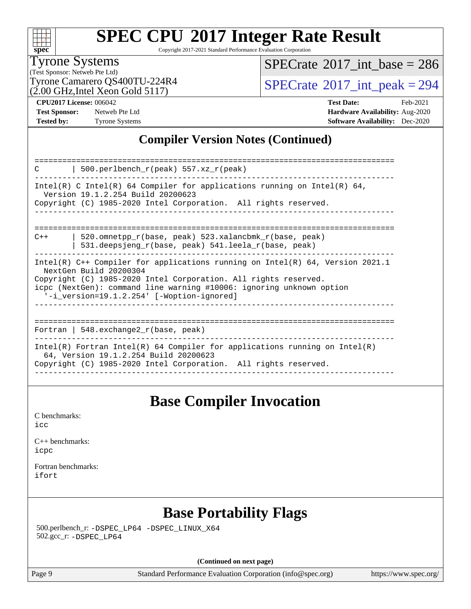

Copyright 2017-2021 Standard Performance Evaluation Corporation

#### Tyrone Systems

(Test Sponsor: Netweb Pte Ltd) (2.00 GHz,Intel Xeon Gold 5117)  $SPECTate@2017_int\_base = 286$ 

Tyrone Camarero QS400TU-224R4  $\vert$  [SPECrate](http://www.spec.org/auto/cpu2017/Docs/result-fields.html#SPECrate2017intpeak)  $2017$ \_int\_peak = 294

**[CPU2017 License:](http://www.spec.org/auto/cpu2017/Docs/result-fields.html#CPU2017License)** 006042 **[Test Date:](http://www.spec.org/auto/cpu2017/Docs/result-fields.html#TestDate)** Feb-2021 **[Test Sponsor:](http://www.spec.org/auto/cpu2017/Docs/result-fields.html#TestSponsor)** Netweb Pte Ltd **[Hardware Availability:](http://www.spec.org/auto/cpu2017/Docs/result-fields.html#HardwareAvailability)** Aug-2020 **[Tested by:](http://www.spec.org/auto/cpu2017/Docs/result-fields.html#Testedby)** Tyrone Systems **[Software Availability:](http://www.spec.org/auto/cpu2017/Docs/result-fields.html#SoftwareAvailability)** Dec-2020

#### **[Compiler Version Notes \(Continued\)](http://www.spec.org/auto/cpu2017/Docs/result-fields.html#CompilerVersionNotes)**

| 500.perlbench_r(peak) 557.xz_r(peak)<br>C                                                                                                                                                                                                                                                          |  |  |  |  |  |
|----------------------------------------------------------------------------------------------------------------------------------------------------------------------------------------------------------------------------------------------------------------------------------------------------|--|--|--|--|--|
| Intel(R) C Intel(R) 64 Compiler for applications running on Intel(R) 64,<br>Version 19.1.2.254 Build 20200623<br>Copyright (C) 1985-2020 Intel Corporation. All rights reserved.                                                                                                                   |  |  |  |  |  |
|                                                                                                                                                                                                                                                                                                    |  |  |  |  |  |
| 520.omnetpp_r(base, peak) 523.xalancbmk_r(base, peak)<br>$C++$                                                                                                                                                                                                                                     |  |  |  |  |  |
| 531.deepsjeng $r(base, peak)$ 541.leela $r(base, peak)$                                                                                                                                                                                                                                            |  |  |  |  |  |
| Intel(R) $C++$ Compiler for applications running on Intel(R) 64, Version 2021.1<br>NextGen Build 20200304<br>Copyright (C) 1985-2020 Intel Corporation. All rights reserved.<br>icpc (NextGen): command line warning #10006: ignoring unknown option<br>'-i_version=19.1.2.254' [-Woption-ignored] |  |  |  |  |  |
| Fortran   548. exchange $2_r$ (base, peak)                                                                                                                                                                                                                                                         |  |  |  |  |  |
|                                                                                                                                                                                                                                                                                                    |  |  |  |  |  |
| Intel(R) Fortran Intel(R) 64 Compiler for applications running on Intel(R)<br>64, Version 19.1.2.254 Build 20200623<br>Copyright (C) 1985-2020 Intel Corporation. All rights reserved.                                                                                                             |  |  |  |  |  |

### **[Base Compiler Invocation](http://www.spec.org/auto/cpu2017/Docs/result-fields.html#BaseCompilerInvocation)**

[C benchmarks](http://www.spec.org/auto/cpu2017/Docs/result-fields.html#Cbenchmarks): [icc](http://www.spec.org/cpu2017/results/res2021q1/cpu2017-20210301-25045.flags.html#user_CCbase_intel_icc_66fc1ee009f7361af1fbd72ca7dcefbb700085f36577c54f309893dd4ec40d12360134090235512931783d35fd58c0460139e722d5067c5574d8eaf2b3e37e92)

[C++ benchmarks:](http://www.spec.org/auto/cpu2017/Docs/result-fields.html#CXXbenchmarks) [icpc](http://www.spec.org/cpu2017/results/res2021q1/cpu2017-20210301-25045.flags.html#user_CXXbase_intel_icpc_c510b6838c7f56d33e37e94d029a35b4a7bccf4766a728ee175e80a419847e808290a9b78be685c44ab727ea267ec2f070ec5dc83b407c0218cded6866a35d07)

[Fortran benchmarks](http://www.spec.org/auto/cpu2017/Docs/result-fields.html#Fortranbenchmarks): [ifort](http://www.spec.org/cpu2017/results/res2021q1/cpu2017-20210301-25045.flags.html#user_FCbase_intel_ifort_8111460550e3ca792625aed983ce982f94888b8b503583aa7ba2b8303487b4d8a21a13e7191a45c5fd58ff318f48f9492884d4413fa793fd88dd292cad7027ca)

## **[Base Portability Flags](http://www.spec.org/auto/cpu2017/Docs/result-fields.html#BasePortabilityFlags)**

 500.perlbench\_r: [-DSPEC\\_LP64](http://www.spec.org/cpu2017/results/res2021q1/cpu2017-20210301-25045.flags.html#b500.perlbench_r_basePORTABILITY_DSPEC_LP64) [-DSPEC\\_LINUX\\_X64](http://www.spec.org/cpu2017/results/res2021q1/cpu2017-20210301-25045.flags.html#b500.perlbench_r_baseCPORTABILITY_DSPEC_LINUX_X64) 502.gcc\_r: [-DSPEC\\_LP64](http://www.spec.org/cpu2017/results/res2021q1/cpu2017-20210301-25045.flags.html#suite_basePORTABILITY502_gcc_r_DSPEC_LP64)

**(Continued on next page)**

Page 9 Standard Performance Evaluation Corporation [\(info@spec.org\)](mailto:info@spec.org) <https://www.spec.org/>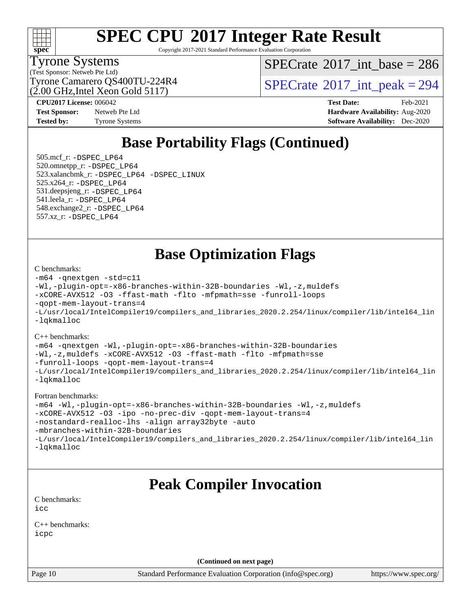## **[SPEC CPU](http://www.spec.org/auto/cpu2017/Docs/result-fields.html#SPECCPU2017IntegerRateResult)[2017 Integer Rate Result](http://www.spec.org/auto/cpu2017/Docs/result-fields.html#SPECCPU2017IntegerRateResult)**

Copyright 2017-2021 Standard Performance Evaluation Corporation

#### Tyrone Systems

(Test Sponsor: Netweb Pte Ltd) (2.00 GHz,Intel Xeon Gold 5117)  $SPECTate$ <sup>®</sup>[2017\\_int\\_base =](http://www.spec.org/auto/cpu2017/Docs/result-fields.html#SPECrate2017intbase) 286

Tyrone Camarero QS400TU-224R4  $\vert$  [SPECrate](http://www.spec.org/auto/cpu2017/Docs/result-fields.html#SPECrate2017intpeak)  $\vert$  2017 int peak = 294

**[Test Sponsor:](http://www.spec.org/auto/cpu2017/Docs/result-fields.html#TestSponsor)** Netweb Pte Ltd **[Hardware Availability:](http://www.spec.org/auto/cpu2017/Docs/result-fields.html#HardwareAvailability)** Aug-2020 **[Tested by:](http://www.spec.org/auto/cpu2017/Docs/result-fields.html#Testedby)** Tyrone Systems **[Software Availability:](http://www.spec.org/auto/cpu2017/Docs/result-fields.html#SoftwareAvailability)** Dec-2020

**[CPU2017 License:](http://www.spec.org/auto/cpu2017/Docs/result-fields.html#CPU2017License)** 006042 **[Test Date:](http://www.spec.org/auto/cpu2017/Docs/result-fields.html#TestDate)** Feb-2021

## **[Base Portability Flags \(Continued\)](http://www.spec.org/auto/cpu2017/Docs/result-fields.html#BasePortabilityFlags)**

 505.mcf\_r: [-DSPEC\\_LP64](http://www.spec.org/cpu2017/results/res2021q1/cpu2017-20210301-25045.flags.html#suite_basePORTABILITY505_mcf_r_DSPEC_LP64) 520.omnetpp\_r: [-DSPEC\\_LP64](http://www.spec.org/cpu2017/results/res2021q1/cpu2017-20210301-25045.flags.html#suite_basePORTABILITY520_omnetpp_r_DSPEC_LP64) 523.xalancbmk\_r: [-DSPEC\\_LP64](http://www.spec.org/cpu2017/results/res2021q1/cpu2017-20210301-25045.flags.html#suite_basePORTABILITY523_xalancbmk_r_DSPEC_LP64) [-DSPEC\\_LINUX](http://www.spec.org/cpu2017/results/res2021q1/cpu2017-20210301-25045.flags.html#b523.xalancbmk_r_baseCXXPORTABILITY_DSPEC_LINUX) 525.x264\_r: [-DSPEC\\_LP64](http://www.spec.org/cpu2017/results/res2021q1/cpu2017-20210301-25045.flags.html#suite_basePORTABILITY525_x264_r_DSPEC_LP64) 531.deepsjeng\_r: [-DSPEC\\_LP64](http://www.spec.org/cpu2017/results/res2021q1/cpu2017-20210301-25045.flags.html#suite_basePORTABILITY531_deepsjeng_r_DSPEC_LP64) 541.leela\_r: [-DSPEC\\_LP64](http://www.spec.org/cpu2017/results/res2021q1/cpu2017-20210301-25045.flags.html#suite_basePORTABILITY541_leela_r_DSPEC_LP64) 548.exchange2\_r: [-DSPEC\\_LP64](http://www.spec.org/cpu2017/results/res2021q1/cpu2017-20210301-25045.flags.html#suite_basePORTABILITY548_exchange2_r_DSPEC_LP64) 557.xz\_r: [-DSPEC\\_LP64](http://www.spec.org/cpu2017/results/res2021q1/cpu2017-20210301-25045.flags.html#suite_basePORTABILITY557_xz_r_DSPEC_LP64)

**[Base Optimization Flags](http://www.spec.org/auto/cpu2017/Docs/result-fields.html#BaseOptimizationFlags)**

#### [C benchmarks](http://www.spec.org/auto/cpu2017/Docs/result-fields.html#Cbenchmarks):

```
-m64 -qnextgen -std=c11
-Wl,-plugin-opt=-x86-branches-within-32B-boundaries -Wl,-z,muldefs
-xCORE-AVX512 -O3 -ffast-math -flto -mfpmath=sse -funroll-loops
-qopt-mem-layout-trans=4
-L/usr/local/IntelCompiler19/compilers_and_libraries_2020.2.254/linux/compiler/lib/intel64_lin
-lqkmalloc
```
#### [C++ benchmarks](http://www.spec.org/auto/cpu2017/Docs/result-fields.html#CXXbenchmarks):

```
-m64 -qnextgen -Wl,-plugin-opt=-x86-branches-within-32B-boundaries
-Wl,-z,muldefs -xCORE-AVX512 -O3 -ffast-math -flto -mfpmath=sse
-funroll-loops -qopt-mem-layout-trans=4
-L/usr/local/IntelCompiler19/compilers_and_libraries_2020.2.254/linux/compiler/lib/intel64_lin
-lqkmalloc
```
#### [Fortran benchmarks:](http://www.spec.org/auto/cpu2017/Docs/result-fields.html#Fortranbenchmarks)

```
-m64 -Wl,-plugin-opt=-x86-branches-within-32B-boundaries -Wl,-z,muldefs
-xCORE-AVX512 -O3 -ipo -no-prec-div -qopt-mem-layout-trans=4
-nostandard-realloc-lhs -align array32byte -auto
-mbranches-within-32B-boundaries
-L/usr/local/IntelCompiler19/compilers_and_libraries_2020.2.254/linux/compiler/lib/intel64_lin
-lqkmalloc
```
### **[Peak Compiler Invocation](http://www.spec.org/auto/cpu2017/Docs/result-fields.html#PeakCompilerInvocation)**

[C benchmarks](http://www.spec.org/auto/cpu2017/Docs/result-fields.html#Cbenchmarks): [icc](http://www.spec.org/cpu2017/results/res2021q1/cpu2017-20210301-25045.flags.html#user_CCpeak_intel_icc_66fc1ee009f7361af1fbd72ca7dcefbb700085f36577c54f309893dd4ec40d12360134090235512931783d35fd58c0460139e722d5067c5574d8eaf2b3e37e92)

[C++ benchmarks:](http://www.spec.org/auto/cpu2017/Docs/result-fields.html#CXXbenchmarks) [icpc](http://www.spec.org/cpu2017/results/res2021q1/cpu2017-20210301-25045.flags.html#user_CXXpeak_intel_icpc_c510b6838c7f56d33e37e94d029a35b4a7bccf4766a728ee175e80a419847e808290a9b78be685c44ab727ea267ec2f070ec5dc83b407c0218cded6866a35d07)

**(Continued on next page)**

Page 10 Standard Performance Evaluation Corporation [\(info@spec.org\)](mailto:info@spec.org) <https://www.spec.org/>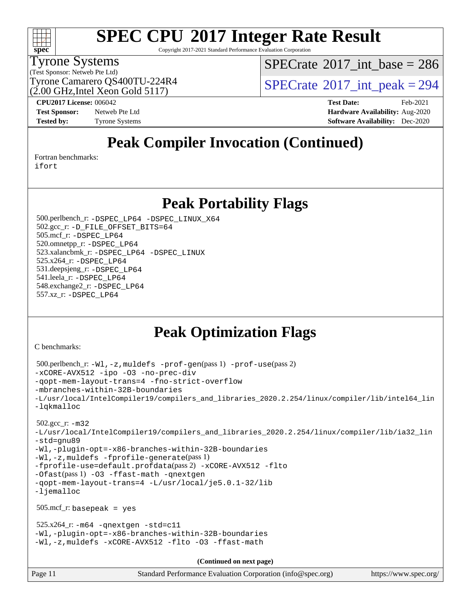#### $+\ +$ **[spec](http://www.spec.org/)**

## **[SPEC CPU](http://www.spec.org/auto/cpu2017/Docs/result-fields.html#SPECCPU2017IntegerRateResult)[2017 Integer Rate Result](http://www.spec.org/auto/cpu2017/Docs/result-fields.html#SPECCPU2017IntegerRateResult)**

Copyright 2017-2021 Standard Performance Evaluation Corporation

#### Tyrone Systems

(Test Sponsor: Netweb Pte Ltd)

(2.00 GHz,Intel Xeon Gold 5117)

 $SPECTate$ <sup>®</sup>[2017\\_int\\_base =](http://www.spec.org/auto/cpu2017/Docs/result-fields.html#SPECrate2017intbase) 286

Tyrone Camarero QS400TU-224R4  $\vert$  [SPECrate](http://www.spec.org/auto/cpu2017/Docs/result-fields.html#SPECrate2017intpeak)  $\vert$  2017 int peak = 294

**[CPU2017 License:](http://www.spec.org/auto/cpu2017/Docs/result-fields.html#CPU2017License)** 006042 **[Test Date:](http://www.spec.org/auto/cpu2017/Docs/result-fields.html#TestDate)** Feb-2021 **[Test Sponsor:](http://www.spec.org/auto/cpu2017/Docs/result-fields.html#TestSponsor)** Netweb Pte Ltd **[Hardware Availability:](http://www.spec.org/auto/cpu2017/Docs/result-fields.html#HardwareAvailability)** Aug-2020 **[Tested by:](http://www.spec.org/auto/cpu2017/Docs/result-fields.html#Testedby)** Tyrone Systems **[Software Availability:](http://www.spec.org/auto/cpu2017/Docs/result-fields.html#SoftwareAvailability)** Dec-2020

## **[Peak Compiler Invocation \(Continued\)](http://www.spec.org/auto/cpu2017/Docs/result-fields.html#PeakCompilerInvocation)**

[Fortran benchmarks](http://www.spec.org/auto/cpu2017/Docs/result-fields.html#Fortranbenchmarks):

[ifort](http://www.spec.org/cpu2017/results/res2021q1/cpu2017-20210301-25045.flags.html#user_FCpeak_intel_ifort_8111460550e3ca792625aed983ce982f94888b8b503583aa7ba2b8303487b4d8a21a13e7191a45c5fd58ff318f48f9492884d4413fa793fd88dd292cad7027ca)

### **[Peak Portability Flags](http://www.spec.org/auto/cpu2017/Docs/result-fields.html#PeakPortabilityFlags)**

 500.perlbench\_r: [-DSPEC\\_LP64](http://www.spec.org/cpu2017/results/res2021q1/cpu2017-20210301-25045.flags.html#b500.perlbench_r_peakPORTABILITY_DSPEC_LP64) [-DSPEC\\_LINUX\\_X64](http://www.spec.org/cpu2017/results/res2021q1/cpu2017-20210301-25045.flags.html#b500.perlbench_r_peakCPORTABILITY_DSPEC_LINUX_X64) 502.gcc\_r: [-D\\_FILE\\_OFFSET\\_BITS=64](http://www.spec.org/cpu2017/results/res2021q1/cpu2017-20210301-25045.flags.html#user_peakPORTABILITY502_gcc_r_file_offset_bits_64_5ae949a99b284ddf4e95728d47cb0843d81b2eb0e18bdfe74bbf0f61d0b064f4bda2f10ea5eb90e1dcab0e84dbc592acfc5018bc955c18609f94ddb8d550002c) 505.mcf\_r: [-DSPEC\\_LP64](http://www.spec.org/cpu2017/results/res2021q1/cpu2017-20210301-25045.flags.html#suite_peakPORTABILITY505_mcf_r_DSPEC_LP64) 520.omnetpp\_r: [-DSPEC\\_LP64](http://www.spec.org/cpu2017/results/res2021q1/cpu2017-20210301-25045.flags.html#suite_peakPORTABILITY520_omnetpp_r_DSPEC_LP64) 523.xalancbmk\_r: [-DSPEC\\_LP64](http://www.spec.org/cpu2017/results/res2021q1/cpu2017-20210301-25045.flags.html#suite_peakPORTABILITY523_xalancbmk_r_DSPEC_LP64) [-DSPEC\\_LINUX](http://www.spec.org/cpu2017/results/res2021q1/cpu2017-20210301-25045.flags.html#b523.xalancbmk_r_peakCXXPORTABILITY_DSPEC_LINUX) 525.x264\_r: [-DSPEC\\_LP64](http://www.spec.org/cpu2017/results/res2021q1/cpu2017-20210301-25045.flags.html#suite_peakPORTABILITY525_x264_r_DSPEC_LP64) 531.deepsjeng\_r: [-DSPEC\\_LP64](http://www.spec.org/cpu2017/results/res2021q1/cpu2017-20210301-25045.flags.html#suite_peakPORTABILITY531_deepsjeng_r_DSPEC_LP64) 541.leela\_r: [-DSPEC\\_LP64](http://www.spec.org/cpu2017/results/res2021q1/cpu2017-20210301-25045.flags.html#suite_peakPORTABILITY541_leela_r_DSPEC_LP64) 548.exchange2\_r: [-DSPEC\\_LP64](http://www.spec.org/cpu2017/results/res2021q1/cpu2017-20210301-25045.flags.html#suite_peakPORTABILITY548_exchange2_r_DSPEC_LP64) 557.xz\_r: [-DSPEC\\_LP64](http://www.spec.org/cpu2017/results/res2021q1/cpu2017-20210301-25045.flags.html#suite_peakPORTABILITY557_xz_r_DSPEC_LP64)

## **[Peak Optimization Flags](http://www.spec.org/auto/cpu2017/Docs/result-fields.html#PeakOptimizationFlags)**

[C benchmarks](http://www.spec.org/auto/cpu2017/Docs/result-fields.html#Cbenchmarks):

```
Page 11 Standard Performance Evaluation Corporation (info@spec.org) https://www.spec.org/
  500.perlbench_r: -Wl,-z,muldefs -prof-gen(pass 1) -prof-use(pass 2)
-xCORE-AVX512 -ipo -O3 -no-prec-div
-qopt-mem-layout-trans=4 -fno-strict-overflow
-mbranches-within-32B-boundaries
-L/usr/local/IntelCompiler19/compilers_and_libraries_2020.2.254/linux/compiler/lib/intel64_lin
-lqkmalloc
  502.gcc_r: -m32
-L/usr/local/IntelCompiler19/compilers_and_libraries_2020.2.254/linux/compiler/lib/ia32_lin
-std=gnu89
-Wl,-plugin-opt=-x86-branches-within-32B-boundaries
-Wl,-z,muldefs -fprofile-generate(pass 1)
-fprofile-use=default.profdata(pass 2) -xCORE-AVX512 -flto
-Ofast(pass 1) -O3 -ffast-math -qnextgen
-qopt-mem-layout-trans=4 -L/usr/local/je5.0.1-32/lib
-ljemalloc
  505.mcf_r: basepeak = yes
 525.x264_r: -m64-qnextgen -std=cl1-Wl,-plugin-opt=-x86-branches-within-32B-boundaries
-Wl,-z,muldefs -xCORE-AVX512 -flto -O3 -ffast-math
                                      (Continued on next page)
```